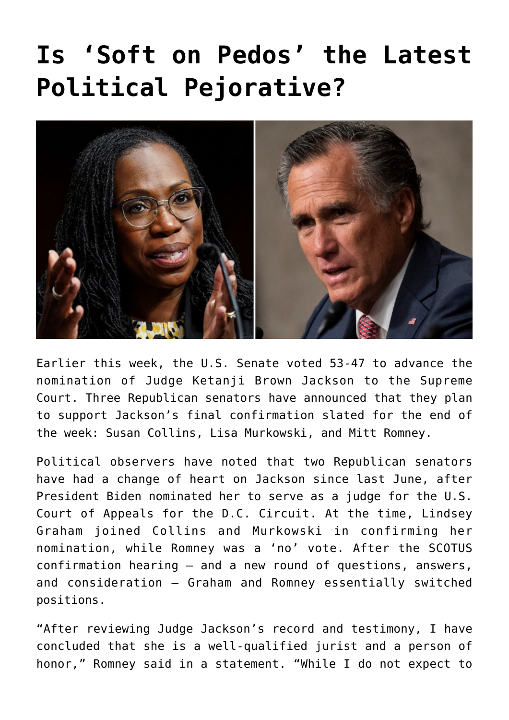## **[Is 'Soft on Pedos' the Latest](https://bernardgoldberg.com/soft-on-pedos-political-pejorative/) [Political Pejorative?](https://bernardgoldberg.com/soft-on-pedos-political-pejorative/)**



Earlier this week, the U.S. Senate voted 53-47 to advance the nomination of Judge Ketanji Brown Jackson to the Supreme Court. Three Republican senators have announced that they plan to support Jackson's final confirmation slated for the end of the week: Susan Collins, Lisa Murkowski, and Mitt Romney.

Political observers have noted that two Republican senators have had a change of heart on Jackson since last June, after President Biden nominated her to serve as a judge for the U.S. Court of Appeals for the D.C. Circuit. At the time, Lindsey Graham joined Collins and Murkowski in confirming her nomination, while Romney was a 'no' vote. After the SCOTUS confirmation hearing — and a new round of questions, answers, and consideration — Graham and Romney essentially switched positions.

"After reviewing Judge Jackson's record and testimony, I have concluded that she is a well-qualified jurist and a person of honor," Romney said in a statement. "While I do not expect to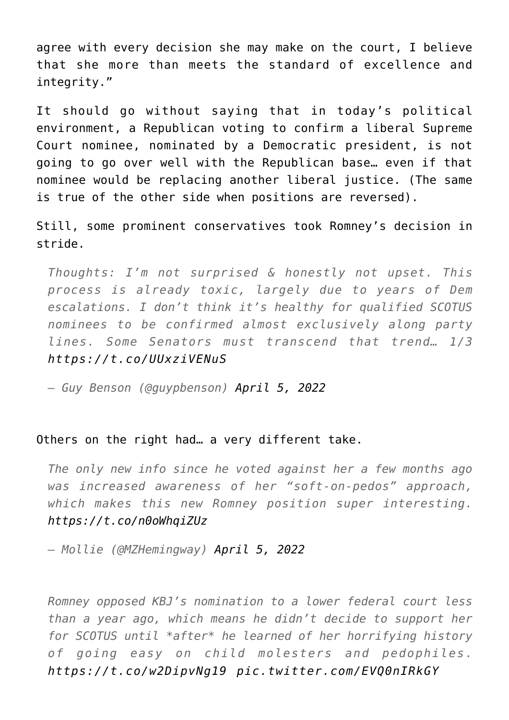agree with every decision she may make on the court, I believe that she more than meets the standard of excellence and integrity."

It should go without saying that in today's political environment, a Republican voting to confirm a liberal Supreme Court nominee, nominated by a Democratic president, is not going to go over well with the Republican base… even if that nominee would be replacing another liberal justice. (The same is true of the other side when positions are reversed).

Still, some prominent conservatives took Romney's decision in stride.

*Thoughts: I'm not surprised & honestly not upset. This process is already toxic, largely due to years of Dem escalations. I don't think it's healthy for qualified SCOTUS nominees to be confirmed almost exclusively along party lines. Some Senators must transcend that trend… 1/3 <https://t.co/UUxziVENuS>*

*— Guy Benson (@guypbenson) [April 5, 2022](https://twitter.com/guypbenson/status/1511145496856907783?ref_src=twsrc%5Etfw)*

## Others on the right had… a very different take.

*The only new info since he voted against her a few months ago was increased awareness of her "soft-on-pedos" approach, which makes this new Romney position super interesting. <https://t.co/n0oWhqiZUz>*

*— Mollie (@MZHemingway) [April 5, 2022](https://twitter.com/MZHemingway/status/1511145553865883648?ref_src=twsrc%5Etfw)*

*Romney opposed KBJ's nomination to a lower federal court less than a year ago, which means he didn't decide to support her for SCOTUS until \*after\* he learned of her horrifying history of going easy on child molesters and pedophiles. <https://t.co/w2DipvNg19> [pic.twitter.com/EVQ0nIRkGY](https://t.co/EVQ0nIRkGY)*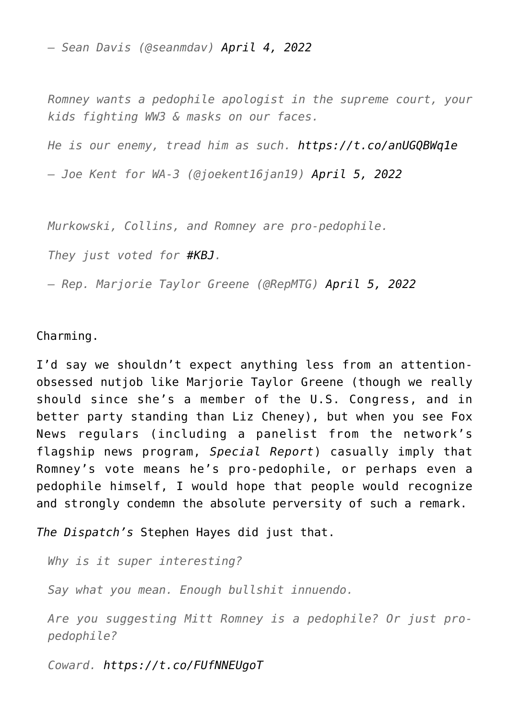*— Sean Davis (@seanmdav) [April 4, 2022](https://twitter.com/seanmdav/status/1511114324621901827?ref_src=twsrc%5Etfw)*

*Romney wants a pedophile apologist in the supreme court, your kids fighting WW3 & masks on our faces.*

*He is our enemy, tread him as such. <https://t.co/anUGQBWq1e>*

*— Joe Kent for WA-3 (@joekent16jan19) [April 5, 2022](https://twitter.com/joekent16jan19/status/1511133218786795529?ref_src=twsrc%5Etfw)*

*Murkowski, Collins, and Romney are pro-pedophile.*

*They just voted for [#KBJ](https://twitter.com/hashtag/KBJ?src=hash&ref_src=twsrc%5Etfw).*

*— Rep. Marjorie Taylor Greene (@RepMTG) [April 5, 2022](https://twitter.com/RepMTG/status/1511150070367985664?ref_src=twsrc%5Etfw)*

Charming.

I'd say we shouldn't expect anything less from an attentionobsessed nutjob like Marjorie Taylor Greene (though we really should since she's a member of the U.S. Congress, and in better party standing than Liz Cheney), but when you see Fox News regulars (including a panelist from the network's flagship news program, *Special Report*) casually imply that Romney's vote means he's pro-pedophile, or perhaps even a pedophile himself, I would hope that people would recognize and strongly condemn the absolute perversity of such a remark.

*The Dispatch's* Stephen Hayes did just that.

*Why is it super interesting?*

*Say what you mean. Enough bullshit innuendo.*

*Are you suggesting Mitt Romney is a pedophile? Or just propedophile?*

*Coward.<https://t.co/FUfNNEUgoT>*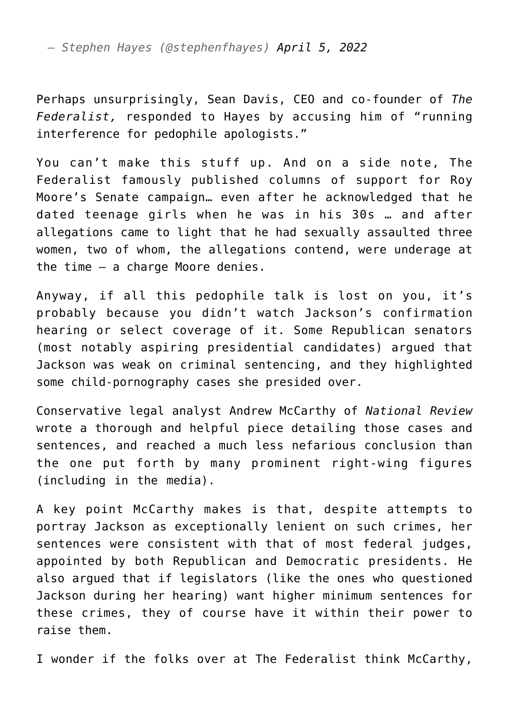*— Stephen Hayes (@stephenfhayes) [April 5, 2022](https://twitter.com/stephenfhayes/status/1511162340112310272?ref_src=twsrc%5Etfw)*

Perhaps unsurprisingly, Sean Davis, CEO and co-founder of *The Federalist,* [responded to Hayes](https://twitter.com/seanmdav/status/1511168920065040390) by accusing him of "running interference for pedophile apologists."

You can't make this stuff up. And on a side note, The Federalist famously published [columns of support](https://thefederalist.com/2017/11/30/alabamians-vote-roy-moore/) for Roy Moore's Senate campaign… even after he acknowledged that he dated teenage girls when he was in his 30s … and after allegations came to light that he had sexually assaulted three women, two of whom, the allegations contend, were underage at the time — a charge Moore denies.

Anyway, if all this pedophile talk is lost on you, it's probably because you didn't watch Jackson's confirmation hearing or select coverage of it. Some Republican senators (most notably aspiring presidential candidates) argued that Jackson was weak on criminal sentencing, and they highlighted some child-pornography cases she presided over.

Conservative legal analyst Andrew McCarthy of *National Review* wrote a [thorough and helpful piece](https://www.nationalreview.com/corner/judge-jackson-and-judiciary-committee-republicans-joust-on-child-porn-possession-case-against-18-year-old-again/) detailing those cases and sentences, and reached a much less nefarious conclusion than the one put forth by many prominent right-wing figures (including in the media).

A key point McCarthy makes is that, despite attempts to portray Jackson as exceptionally lenient on such crimes, her sentences were consistent with that of most federal judges, appointed by both Republican and Democratic presidents. He also argued that if legislators (like the ones who questioned Jackson during her hearing) want higher minimum sentences for these crimes, they of course have it within their power to raise them.

I wonder if the folks over at The Federalist think McCarthy,